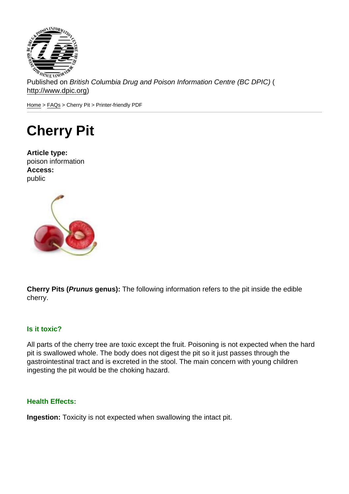Published on British Columbia Drug and Poison Information Centre (BC DPIC) ( http://www.dpic.org)

Home > FAQs > Cherry Pit > Printer-friendly PDF

## [Ch](http://www.dpic.org/)[err](http://www.dpic.org/faq)y Pit

Article type: poison information Access: public

Cherry Pits ( Prunus genus): The following information refers to the pit inside the edible cherry.

## Is it toxic?

All parts of the cherry tree are toxic except the fruit. Poisoning is not expected when the hard pit is swallowed whole. The body does not digest the pit so it just passes through the gastrointestinal tract and is excreted in the stool. The main concern with young children ingesting the pit would be the choking hazard.

## Health Effects:

Ingestion: Toxicity is not expected when swallowing the intact pit.